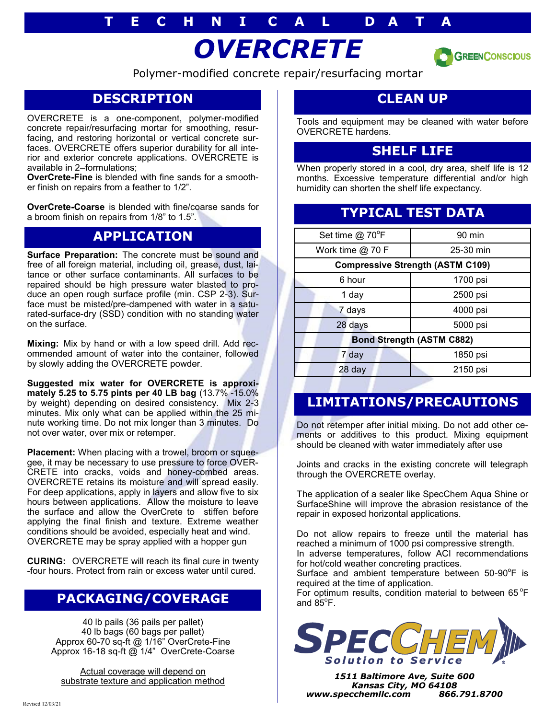# **T E C H N I C A L D A T A**

# *OVERCRETE*



Polymer-modified concrete repair/resurfacing mortar

## **DESCRIPTION**

OVERCRETE is a one-component, polymer-modified concrete repair/resurfacing mortar for smoothing, resurfacing, and restoring horizontal or vertical concrete surfaces. OVERCRETE offers superior durability for all interior and exterior concrete applications. OVERCRETE is available in 2–formulations;

**OverCrete-Fine** is blended with fine sands for a smoother finish on repairs from a feather to 1/2".

**OverCrete-Coarse** is blended with fine/coarse sands for a broom finish on repairs from 1/8" to 1.5".

#### **APPLICATION**

**Surface Preparation:** The concrete must be sound and free of all foreign material, including oil, grease, dust, laitance or other surface contaminants. All surfaces to be repaired should be high pressure water blasted to produce an open rough surface profile (min. CSP 2-3). Surface must be misted/pre-dampened with water in a saturated-surface-dry (SSD) condition with no standing water on the surface.

**Mixing:** Mix by hand or with a low speed drill. Add recommended amount of water into the container, followed by slowly adding the OVERCRETE powder.

**Suggested mix water for OVERCRETE is approximately 5.25 to 5.75 pints per 40 LB bag** (13.7% -15.0% by weight) depending on desired consistency. Mix 2-3 minutes. Mix only what can be applied within the 25 minute working time. Do not mix longer than 3 minutes. Do not over water, over mix or retemper.

**Placement:** When placing with a trowel, broom or squeegee, it may be necessary to use pressure to force OVER-CRETE into cracks, voids and honey-combed areas. OVERCRETE retains its moisture and will spread easily. For deep applications, apply in layers and allow five to six hours between applications. Allow the moisture to leave the surface and allow the OverCrete to stiffen before applying the final finish and texture. Extreme weather conditions should be avoided, especially heat and wind. OVERCRETE may be spray applied with a hopper gun

**CURING:** OVERCRETE will reach its final cure in twenty -four hours. Protect from rain or excess water until cured.

### **PACKAGING/COVERAGE**

40 lb pails (36 pails per pallet) 40 lb bags (60 bags per pallet) Approx 60-70 sq-ft @ 1/16" OverCrete-Fine Approx 16-18 sq-ft @ 1/4" OverCrete-Coarse

Actual coverage will depend on substrate texture and application method

# **CLEAN UP**

Tools and equipment may be cleaned with water before OVERCRETE hardens.

#### **SHELF LIFE**

When properly stored in a cool, dry area, shelf life is 12 months. Excessive temperature differential and/or high humidity can shorten the shelf life expectancy.

## **TYPICAL TEST DATA**

| Set time @ 70°F                         | 90 min    |
|-----------------------------------------|-----------|
| Work time @ 70 F                        | 25-30 min |
| <b>Compressive Strength (ASTM C109)</b> |           |
| 6 hour                                  | 1700 psi  |
| 1 day                                   | 2500 psi  |
| 7 days                                  | 4000 psi  |
| 28 days                                 | 5000 psi  |
| <b>Bond Strength (ASTM C882)</b>        |           |
| 7 day                                   | 1850 psi  |
| 28 day                                  | 2150 psi  |

# **LIMITATIONS/PRECAUTIONS**

Do not retemper after initial mixing. Do not add other cements or additives to this product. Mixing equipment should be cleaned with water immediately after use

Joints and cracks in the existing concrete will telegraph through the OVERCRETE overlay.

The application of a sealer like SpecChem Aqua Shine or SurfaceShine will improve the abrasion resistance of the repair in exposed horizontal applications.

Do not allow repairs to freeze until the material has reached a minimum of 1000 psi compressive strength. In adverse temperatures, follow ACI recommendations

for hot/cold weather concreting practices.

Surface and ambient temperature between  $50-90^{\circ}$ F is required at the time of application.

For optimum results, condition material to between 65 $\mathrm{^{\circ}F}$ and  $85^\circ$ F.



*1511 Baltimore Ave, Suite 600 Kansas City, MO 64108 www.specchemllc.com 866.791.8700*